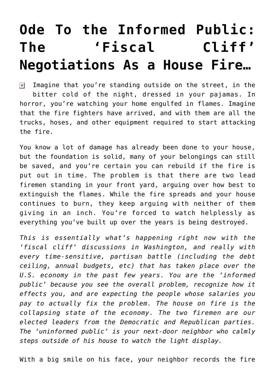## **[Ode To the Informed Public:](https://bernardgoldberg.com/ode-to-the-informed-public-the-fiscal-cliff-negotiations-as-a-house-fire/) [The 'Fiscal Cliff'](https://bernardgoldberg.com/ode-to-the-informed-public-the-fiscal-cliff-negotiations-as-a-house-fire/) [Negotiations As a House Fire…](https://bernardgoldberg.com/ode-to-the-informed-public-the-fiscal-cliff-negotiations-as-a-house-fire/)**

Imagine that you're standing outside on the street, in the  $\pmb{\times}$ bitter cold of the night, dressed in your pajamas. In horror, you're watching your home engulfed in flames. Imagine that the fire fighters have arrived, and with them are all the trucks, hoses, and other equipment required to start attacking the fire.

You know a lot of damage has already been done to your house, but the foundation is solid, many of your belongings can still be saved, and you're certain you can rebuild if the fire is put out in time. The problem is that there are two lead firemen standing in your front yard, arguing over how best to extinguish the flames. While the fire spreads and your house continues to burn, they keep arguing with neither of them giving in an inch. You're forced to watch helplessly as everything you've built up over the years is being destroyed.

*This is essentially what's happening right now with the 'fiscal cliff' discussions in Washington, and really with every time-sensitive, partisan battle (including the debt ceiling, annual budgets, etc) that has taken place over the U.S. economy in the past few years. You are the 'informed public' because you see the overall problem, recognize how it effects you, and are expecting the people whose salaries you pay to actually fix the problem. The house on fire is the collapsing state of the economy. The two firemen are our elected leaders from the Democratic and Republican parties. The 'uninformed public' is your next-door neighbor who calmly steps outside of his house to watch the light display.*

With a big smile on his face, your neighbor records the fire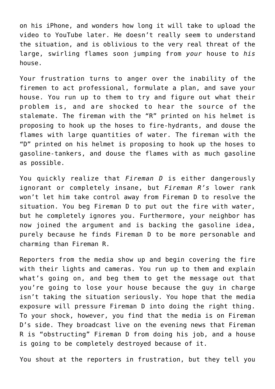on his iPhone, and wonders how long it will take to upload the video to YouTube later. He doesn't really seem to understand the situation, and is oblivious to the very real threat of the large, swirling flames soon jumping from *your* house to *his* house.

Your frustration turns to anger over the inability of the firemen to act professional, formulate a plan, and save your house. You run up to them to try and figure out what their problem is, and are shocked to hear the source of the stalemate. The fireman with the "R" printed on his helmet is proposing to hook up the hoses to fire-hydrants, and douse the flames with large quantities of water. The fireman with the "D" printed on his helmet is proposing to hook up the hoses to gasoline-tankers, and douse the flames with as much gasoline as possible.

You quickly realize that *Fireman D* is either dangerously ignorant or completely insane, but *Fireman R's* lower rank won't let him take control away from Fireman D to resolve the situation. You beg Fireman D to put out the fire with water, but he completely ignores you. Furthermore, your neighbor has now joined the argument and is backing the gasoline idea, purely because he finds Fireman D to be more personable and charming than Fireman R.

Reporters from the media show up and begin covering the fire with their lights and cameras. You run up to them and explain what's going on, and beg them to get the message out that you're going to lose your house because the guy in charge isn't taking the situation seriously. You hope that the media exposure will pressure Fireman D into doing the right thing. To your shock, however, you find that the media is on Fireman D's side. They broadcast live on the evening news that Fireman R is "obstructing" Fireman D from doing his job, and a house is going to be completely destroyed because of it.

You shout at the reporters in frustration, but they tell you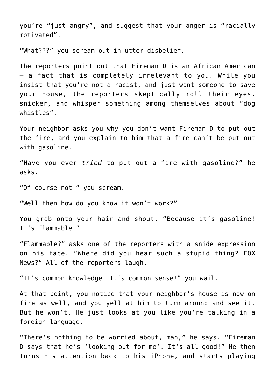you're "just angry", and suggest that your anger is "racially motivated".

"What???" you scream out in utter disbelief.

The reporters point out that Fireman D is an African American – a fact that is completely irrelevant to you. While you insist that you're not a racist, and just want someone to save your house, the reporters skeptically roll their eyes, snicker, and whisper something among themselves about "dog whistles".

Your neighbor asks you why you don't want Fireman D to put out the fire, and you explain to him that a fire can't be put out with gasoline.

"Have you ever *tried* to put out a fire with gasoline?" he asks.

"Of course not!" you scream.

"Well then how do you know it won't work?"

You grab onto your hair and shout, "Because it's gasoline! It's flammable!"

"Flammable?" asks one of the reporters with a snide expression on his face. "Where did you hear such a stupid thing? FOX News?" All of the reporters laugh.

"It's common knowledge! It's common sense!" you wail.

At that point, you notice that your neighbor's house is now on fire as well, and you yell at him to turn around and see it. But he won't. He just looks at you like you're talking in a foreign language.

"There's nothing to be worried about, man," he says. "Fireman D says that he's 'looking out for me'. It's all good!" He then turns his attention back to his iPhone, and starts playing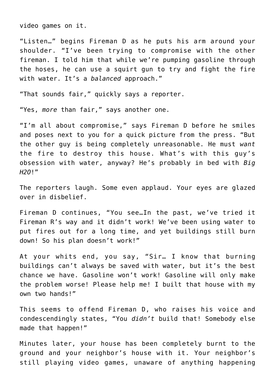video games on it.

"Listen…" begins Fireman D as he puts his arm around your shoulder. "I've been trying to compromise with the other fireman. I told him that while we're pumping gasoline through the hoses, he can use a squirt gun to try and fight the fire with water. It's a *balanced* approach."

"That sounds fair," quickly says a reporter.

"Yes, *more* than fair," says another one.

"I'm all about compromise," says Fireman D before he smiles and poses next to you for a quick picture from the press. "But the other guy is being completely unreasonable. He must *want* the fire to destroy this house. What's with this guy's obsession with water, anyway? He's probably in bed with *Big H2O*!"

The reporters laugh. Some even applaud. Your eyes are glazed over in disbelief.

Fireman D continues, "You see…In the past, we've tried it Fireman R's way and it didn't work! We've been using water to put fires out for a long time, and yet buildings still burn down! So his plan doesn't work!"

At your whits end, you say, "Sir… I know that burning buildings can't always be saved with water, but it's the best chance we have. Gasoline won't work! Gasoline will only make the problem worse! Please help me! I built that house with my own two hands!"

This seems to offend Fireman D, who raises his voice and condescendingly states, "You *didn't* build that! Somebody else made that happen!"

Minutes later, your house has been completely burnt to the ground and your neighbor's house with it. Your neighbor's still playing video games, unaware of anything happening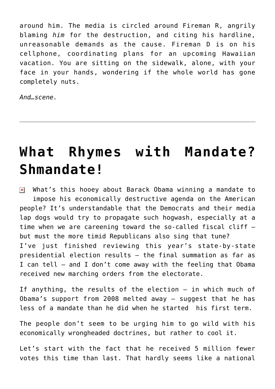around him. The media is circled around Fireman R, angrily blaming *him* for the destruction, and citing his hardline, unreasonable demands as the cause. Fireman D is on his cellphone, coordinating plans for an upcoming Hawaiian vacation. You are sitting on the sidewalk, alone, with your face in your hands, wondering if the whole world has gone completely nuts.

*And…scene.*

## **[What Rhymes with Mandate?](https://bernardgoldberg.com/what-rhymes-with-mandate-shmandate/) [Shmandate!](https://bernardgoldberg.com/what-rhymes-with-mandate-shmandate/)**

 $\overline{\mathbf{x}}$  What's this hooey about Barack Obama winning a mandate to impose his economically destructive agenda on the American people? It's understandable that the Democrats and their media lap dogs would try to propagate such hogwash, especially at a time when we are careening toward the so-called fiscal cliff but must the more timid Republicans also sing that tune? I've just finished reviewing this year's state-by-state presidential election results — the final summation as far as I can tell — and I don't come away with the feeling that Obama received new marching orders from the electorate.

If anything, the results of the election – in which much of Obama's support from 2008 melted away — suggest that he has less of a mandate than he did when he started his first term.

The people don't seem to be urging him to go wild with his economically wrongheaded doctrines, but rather to cool it.

Let's start with the fact that he received 5 million fewer votes this time than last. That hardly seems like a national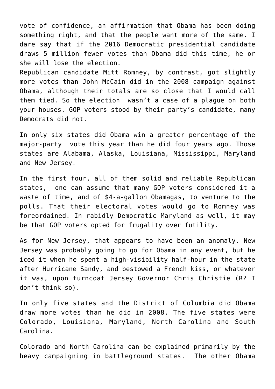vote of confidence, an affirmation that Obama has been doing something right, and that the people want more of the same. I dare say that if the 2016 Democratic presidential candidate draws 5 million fewer votes than Obama did this time, he or she will lose the election.

Republican candidate Mitt Romney, by contrast, got slightly more votes than John McCain did in the 2008 campaign against Obama, although their totals are so close that I would call them tied. So the election wasn't a case of a plague on both your houses. GOP voters stood by their party's candidate, many Democrats did not.

In only six states did Obama win a greater percentage of the major-party vote this year than he did four years ago. Those states are Alabama, Alaska, Louisiana, Mississippi, Maryland and New Jersey.

In the first four, all of them solid and reliable Republican states, one can assume that many GOP voters considered it a waste of time, and of \$4-a-gallon Obamagas, to venture to the polls. That their electoral votes would go to Romney was foreordained. In rabidly Democratic Maryland as well, it may be that GOP voters opted for frugality over futility.

As for New Jersey, that appears to have been an anomaly. New Jersey was probably going to go for Obama in any event, but he iced it when he spent a high-visibility half-hour in the state after Hurricane Sandy, and bestowed a French kiss, or whatever it was, upon turncoat Jersey Governor Chris Christie (R? I don't think so).

In only five states and the District of Columbia did Obama draw more votes than he did in 2008. The five states were Colorado, Louisiana, Maryland, North Carolina and South Carolina.

Colorado and North Carolina can be explained primarily by the heavy campaigning in battleground states. The other Obama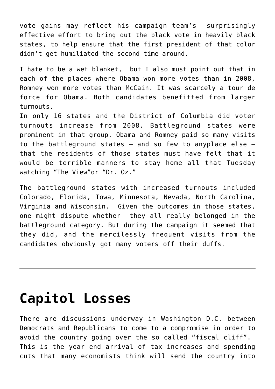vote gains may reflect his campaign team's surprisingly effective effort to bring out the black vote in heavily black states, to help ensure that the first president of that color didn't get humiliated the second time around.

I hate to be a wet blanket, but I also must point out that in each of the places where Obama won more votes than in 2008, Romney won more votes than McCain. It was scarcely a tour de force for Obama. Both candidates benefitted from larger turnouts.

In only 16 states and the District of Columbia did voter turnouts increase from 2008. Battleground states were prominent in that group. Obama and Romney paid so many visits to the battleground states – and so few to anyplace else – that the residents of those states must have felt that it would be terrible manners to stay home all that Tuesday watching "The View"or "Dr. Oz."

The battleground states with increased turnouts included Colorado, Florida, Iowa, Minnesota, Nevada, North Carolina, Virginia and Wisconsin. Given the outcomes in those states, one might dispute whether they all really belonged in the battleground category. But during the campaign it seemed that they did, and the mercilessly frequent visits from the candidates obviously got many voters off their duffs.

## **[Capitol Losses](https://bernardgoldberg.com/capitol-losses/)**

There are discussions underway in Washington D.C. between Democrats and Republicans to come to a compromise in order to avoid the country going over the so called "fiscal cliff". This is the year end arrival of tax increases and spending cuts that many economists think will send the country into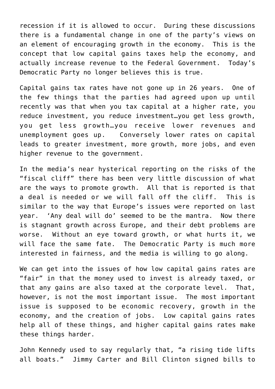recession if it is allowed to occur. During these discussions there is a fundamental change in one of the party's views on an element of encouraging growth in the economy. This is the concept that low capital gains taxes help the economy, and actually increase revenue to the Federal Government. Today's Democratic Party no longer believes this is true.

Capital gains tax rates have not gone up in 26 years. One of the few things that the parties had agreed upon up until recently was that when you tax capital at a higher rate, you reduce investment, you reduce investment…you get less growth, you get less growth…you receive lower revenues and unemployment goes up. Conversely lower rates on capital leads to greater investment, more growth, more jobs, and even higher revenue to the government.

In the media's near hysterical reporting on the risks of the "fiscal cliff" there has been very little discussion of what are the ways to promote growth. All that is reported is that a deal is needed or we will fall off the cliff. This is similar to the way that Europe's issues were reported on last year. 'Any deal will do' seemed to be the mantra. Now there is stagnant growth across Europe, and their debt problems are worse. Without an eye toward growth, or what hurts it, we will face the same fate. The Democratic Party is much more interested in fairness, and the media is willing to go along.

We can get into the issues of how low capital gains rates are "fair" in that the money used to invest is already taxed, or that any gains are also taxed at the corporate level. That, however, is not the most important issue. The most important issue is supposed to be economic recovery, growth in the economy, and the creation of jobs. Low capital gains rates help all of these things, and higher capital gains rates make these things harder.

John Kennedy used to say regularly that, "a rising tide lifts all boats." Jimmy Carter and Bill Clinton signed bills to